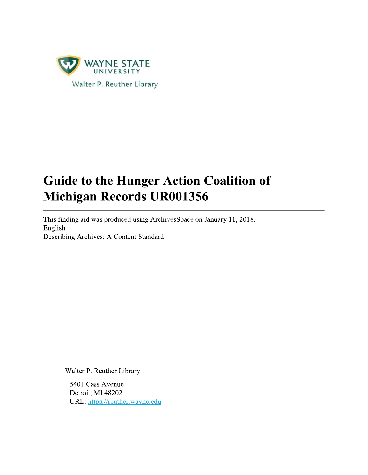

# **Guide to the Hunger Action Coalition of** Michigan Records UR001356

This finding aid was produced using ArchivesSpace on January 11, 2018. English Describing Archives: A Content Standard

Walter P. Reuther Library

5401 Cass Avenue Detroit, MI 48202 URL: https://reuther.wayne.edu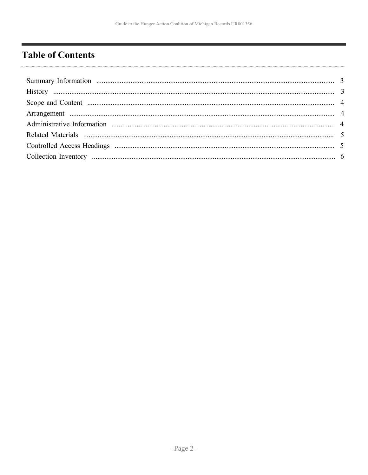# <span id="page-1-0"></span>**Table of Contents**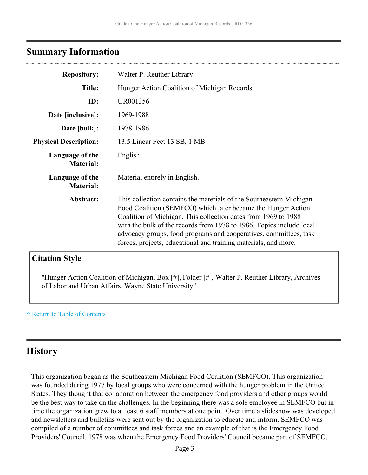### <span id="page-2-0"></span>**Summary Information**

| <b>Repository:</b>                  | Walter P. Reuther Library                                                                                                                                                                                                                                                                                                                                                                                             |
|-------------------------------------|-----------------------------------------------------------------------------------------------------------------------------------------------------------------------------------------------------------------------------------------------------------------------------------------------------------------------------------------------------------------------------------------------------------------------|
| <b>Title:</b>                       | Hunger Action Coalition of Michigan Records                                                                                                                                                                                                                                                                                                                                                                           |
| ID:                                 | UR001356                                                                                                                                                                                                                                                                                                                                                                                                              |
| Date [inclusive]:                   | 1969-1988                                                                                                                                                                                                                                                                                                                                                                                                             |
| Date [bulk]:                        | 1978-1986                                                                                                                                                                                                                                                                                                                                                                                                             |
| <b>Physical Description:</b>        | 13.5 Linear Feet 13 SB, 1 MB                                                                                                                                                                                                                                                                                                                                                                                          |
| Language of the<br><b>Material:</b> | English                                                                                                                                                                                                                                                                                                                                                                                                               |
| Language of the<br><b>Material:</b> | Material entirely in English.                                                                                                                                                                                                                                                                                                                                                                                         |
| Abstract:                           | This collection contains the materials of the Southeastern Michigan<br>Food Coalition (SEMFCO) which later became the Hunger Action<br>Coalition of Michigan. This collection dates from 1969 to 1988<br>with the bulk of the records from 1978 to 1986. Topics include local<br>advocacy groups, food programs and cooperatives, committees, task<br>forces, projects, educational and training materials, and more. |

### **Citation Style**

"Hunger Action Coalition of Michigan, Box [#], Folder [#], Walter P. Reuther Library, Archives of Labor and Urban Affairs, Wayne State University"

#### **^** [Return to Table of Contents](#page-1-0)

#### <span id="page-2-1"></span>**History**

This organization began as the Southeastern Michigan Food Coalition (SEMFCO). This organization was founded during 1977 by local groups who were concerned with the hunger problem in the United States. They thought that collaboration between the emergency food providers and other groups would be the best way to take on the challenges. In the beginning there was a sole employee in SEMFCO but in time the organization grew to at least 6 staff members at one point. Over time a slideshow was developed and newsletters and bulletins were sent out by the organization to educate and inform. SEMFCO was compiled of a number of committees and task forces and an example of that is the Emergency Food Providers' Council. 1978 was when the Emergency Food Providers' Council became part of SEMFCO,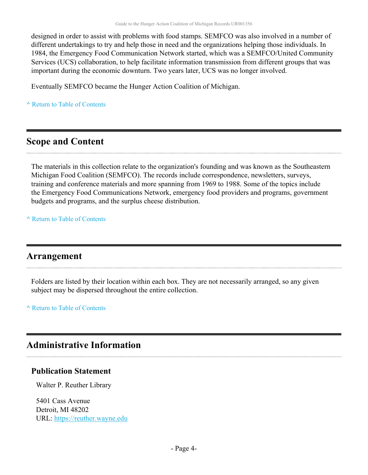designed in order to assist with problems with food stamps. SEMFCO was also involved in a number of different undertakings to try and help those in need and the organizations helping those individuals. In 1984, the Emergency Food Communication Network started, which was a SEMFCO/United Community Services (UCS) collaboration, to help facilitate information transmission from different groups that was important during the economic downturn. Two years later, UCS was no longer involved.

Eventually SEMFCO became the Hunger Action Coalition of Michigan.

**^** [Return to Table of Contents](#page-1-0)

## <span id="page-3-0"></span>**Scope and Content**

The materials in this collection relate to the organization's founding and was known as the Southeastern Michigan Food Coalition (SEMFCO). The records include correspondence, newsletters, surveys, training and conference materials and more spanning from 1969 to 1988. Some of the topics include the Emergency Food Communications Network, emergency food providers and programs, government budgets and programs, and the surplus cheese distribution.

**^** [Return to Table of Contents](#page-1-0)

### <span id="page-3-1"></span>**Arrangement**

Folders are listed by their location within each box. They are not necessarily arranged, so any given subject may be dispersed throughout the entire collection.

**^** [Return to Table of Contents](#page-1-0)

## <span id="page-3-2"></span>**Administrative Information**

#### **Publication Statement**

Walter P. Reuther Library

5401 Cass Avenue Detroit, MI 48202 URL:<https://reuther.wayne.edu>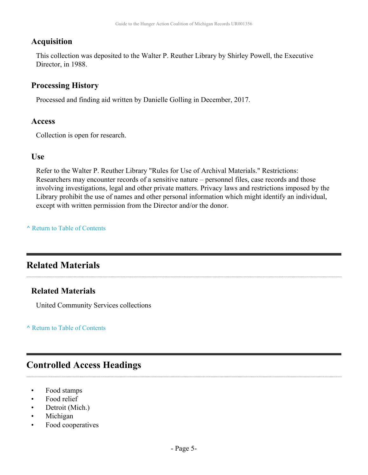#### **Acquisition**

This collection was deposited to the Walter P. Reuther Library by Shirley Powell, the Executive Director, in 1988.

#### **Processing History**

Processed and finding aid written by Danielle Golling in December, 2017.

#### **Access**

Collection is open for research.

#### **Use**

Refer to the Walter P. Reuther Library "Rules for Use of Archival Materials." Restrictions: Researchers may encounter records of a sensitive nature – personnel files, case records and those involving investigations, legal and other private matters. Privacy laws and restrictions imposed by the Library prohibit the use of names and other personal information which might identify an individual, except with written permission from the Director and/or the donor.

#### **^** [Return to Table of Contents](#page-1-0)

# <span id="page-4-0"></span>**Related Materials**

#### **Related Materials**

United Community Services collections

**^** [Return to Table of Contents](#page-1-0)

# <span id="page-4-1"></span>**Controlled Access Headings**

- Food stamps
- Food relief
- Detroit (Mich.)
- Michigan
- Food cooperatives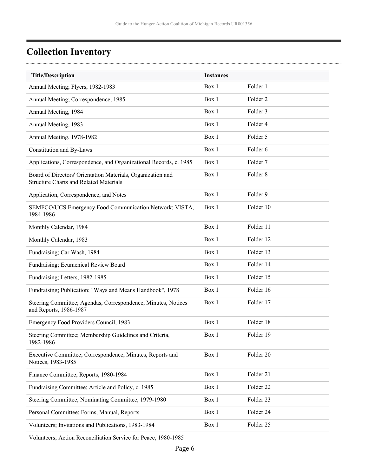$\cdots$ 

# <span id="page-5-0"></span>**Collection Inventory**

 $\ddotsc$ 

| <b>Title/Description</b>                                                                                     | <b>Instances</b> |                     |
|--------------------------------------------------------------------------------------------------------------|------------------|---------------------|
| Annual Meeting; Flyers, 1982-1983                                                                            | Box 1            | Folder 1            |
| Annual Meeting; Correspondence, 1985                                                                         | Box 1            | Folder <sub>2</sub> |
| Annual Meeting, 1984                                                                                         | Box 1            | Folder 3            |
| Annual Meeting, 1983                                                                                         | Box 1            | Folder 4            |
| Annual Meeting, 1978-1982                                                                                    | Box 1            | Folder 5            |
| Constitution and By-Laws                                                                                     | Box 1            | Folder 6            |
| Applications, Correspondence, and Organizational Records, c. 1985                                            | Box 1            | Folder <sub>7</sub> |
| Board of Directors' Orientation Materials, Organization and<br><b>Structure Charts and Related Materials</b> | Box 1            | Folder 8            |
| Application, Correspondence, and Notes                                                                       | Box 1            | Folder 9            |
| SEMFCO/UCS Emergency Food Communication Network; VISTA,<br>1984-1986                                         | Box 1            | Folder 10           |
| Monthly Calendar, 1984                                                                                       | Box 1            | Folder 11           |
| Monthly Calendar, 1983                                                                                       | Box 1            | Folder 12           |
| Fundraising; Car Wash, 1984                                                                                  | Box 1            | Folder 13           |
| Fundraising; Ecumenical Review Board                                                                         | Box 1            | Folder 14           |
| Fundraising; Letters, 1982-1985                                                                              | Box 1            | Folder 15           |
| Fundraising; Publication; "Ways and Means Handbook", 1978                                                    | Box 1            | Folder 16           |
| Steering Committee; Agendas, Correspondence, Minutes, Notices<br>and Reports, 1986-1987                      | Box 1            | Folder 17           |
| Emergency Food Providers Council, 1983                                                                       | Box 1            | Folder 18           |
| Steering Committee; Membership Guidelines and Criteria,<br>1982-1986                                         | Box 1            | Folder 19           |
| Executive Committee; Correspondence, Minutes, Reports and<br>Notices, 1983-1985                              | Box 1            | Folder 20           |
| Finance Committee; Reports, 1980-1984                                                                        | Box 1            | Folder 21           |
| Fundraising Committee; Article and Policy, c. 1985                                                           | Box 1            | Folder 22           |
| Steering Committee; Nominating Committee, 1979-1980                                                          | Box 1            | Folder 23           |
| Personal Committee; Forms, Manual, Reports                                                                   | Box 1            | Folder 24           |
| Volunteers; Invitations and Publications, 1983-1984                                                          | Box 1            | Folder 25           |
|                                                                                                              |                  |                     |

Volunteers; Action Reconciliation Service for Peace, 1980-1985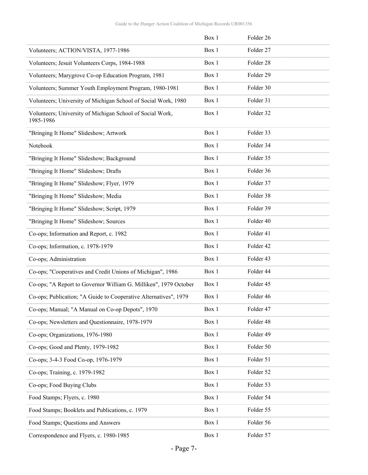|                                                                        | Box 1 | Folder 26 |  |
|------------------------------------------------------------------------|-------|-----------|--|
| Volunteers; ACTION/VISTA, 1977-1986                                    | Box 1 | Folder 27 |  |
| Volunteers; Jesuit Volunteers Corps, 1984-1988                         | Box 1 | Folder 28 |  |
| Volunteers; Marygrove Co-op Education Program, 1981                    | Box 1 | Folder 29 |  |
| Volunteers; Summer Youth Employment Program, 1980-1981                 | Box 1 | Folder 30 |  |
| Volunteers; University of Michigan School of Social Work, 1980         | Box 1 | Folder 31 |  |
| Volunteers; University of Michigan School of Social Work,<br>1985-1986 | Box 1 | Folder 32 |  |
| "Bringing It Home" Slideshow; Artwork                                  | Box 1 | Folder 33 |  |
| Notebook                                                               | Box 1 | Folder 34 |  |
| "Bringing It Home" Slideshow; Background                               | Box 1 | Folder 35 |  |
| "Bringing It Home" Slideshow; Drafts                                   | Box 1 | Folder 36 |  |
| "Bringing It Home" Slideshow; Flyer, 1979                              | Box 1 | Folder 37 |  |
| "Bringing It Home" Slideshow; Media                                    | Box 1 | Folder 38 |  |
| "Bringing It Home" Slideshow; Script, 1979                             | Box 1 | Folder 39 |  |
| "Bringing It Home" Slideshow; Sources                                  | Box 1 | Folder 40 |  |
| Co-ops; Information and Report, c. 1982                                | Box 1 | Folder 41 |  |
| Co-ops; Information, c. 1978-1979                                      | Box 1 | Folder 42 |  |
| Co-ops; Administration                                                 | Box 1 | Folder 43 |  |
| Co-ops; "Cooperatives and Credit Unions of Michigan", 1986             | Box 1 | Folder 44 |  |
| Co-ops; "A Report to Governor William G. Milliken", 1979 October       | Box 1 | Folder 45 |  |
| Co-ops; Publication; "A Guide to Cooperative Alternatives", 1979       | Box 1 | Folder 46 |  |
| Co-ops; Manual; "A Manual on Co-op Depots", 1970                       | Box 1 | Folder 47 |  |
| Co-ops; Newsletters and Questionnaire, 1978-1979                       | Box 1 | Folder 48 |  |
| Co-ops; Organizations, 1976-1980                                       | Box 1 | Folder 49 |  |
| Co-ops; Good and Plenty, 1979-1982                                     | Box 1 | Folder 50 |  |
| Co-ops; 3-4-3 Food Co-op, 1976-1979                                    | Box 1 | Folder 51 |  |
| Co-ops; Training, c. 1979-1982                                         | Box 1 | Folder 52 |  |
| Co-ops; Food Buying Clubs                                              | Box 1 | Folder 53 |  |
| Food Stamps; Flyers, c. 1980                                           | Box 1 | Folder 54 |  |
| Food Stamps; Booklets and Publications, c. 1979                        | Box 1 | Folder 55 |  |
| Food Stamps; Questions and Answers                                     | Box 1 | Folder 56 |  |
| Correspondence and Flyers, c. 1980-1985                                | Box 1 | Folder 57 |  |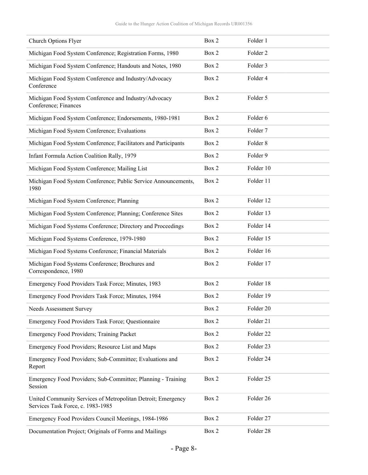| Church Options Flyer                                                                              | Box 2 | Folder 1            |
|---------------------------------------------------------------------------------------------------|-------|---------------------|
| Michigan Food System Conference; Registration Forms, 1980                                         | Box 2 | Folder <sub>2</sub> |
| Michigan Food System Conference; Handouts and Notes, 1980                                         | Box 2 | Folder 3            |
| Michigan Food System Conference and Industry/Advocacy<br>Conference                               | Box 2 | Folder 4            |
| Michigan Food System Conference and Industry/Advocacy<br>Conference; Finances                     | Box 2 | Folder 5            |
| Michigan Food System Conference; Endorsements, 1980-1981                                          | Box 2 | Folder 6            |
| Michigan Food System Conference; Evaluations                                                      | Box 2 | Folder <sub>7</sub> |
| Michigan Food System Conference; Facilitators and Participants                                    | Box 2 | Folder <sub>8</sub> |
| Infant Formula Action Coalition Rally, 1979                                                       | Box 2 | Folder 9            |
| Michigan Food System Conference; Mailing List                                                     | Box 2 | Folder 10           |
| Michigan Food System Conference; Public Service Announcements,<br>1980                            | Box 2 | Folder 11           |
| Michigan Food System Conference; Planning                                                         | Box 2 | Folder 12           |
| Michigan Food System Conference; Planning; Conference Sites                                       | Box 2 | Folder 13           |
| Michigan Food Systems Conference; Directory and Proceedings                                       | Box 2 | Folder 14           |
| Michigan Food Systems Conference, 1979-1980                                                       | Box 2 | Folder 15           |
| Michigan Food Systems Conference; Financial Materials                                             | Box 2 | Folder 16           |
| Michigan Food Systems Conference; Brochures and<br>Correspondence, 1980                           | Box 2 | Folder 17           |
| Emergency Food Providers Task Force; Minutes, 1983                                                | Box 2 | Folder 18           |
| Emergency Food Providers Task Force; Minutes, 1984                                                | Box 2 | Folder 19           |
| Needs Assessment Survey                                                                           | Box 2 | Folder 20           |
| Emergency Food Providers Task Force; Questionnaire                                                | Box 2 | Folder 21           |
| Emergency Food Providers; Training Packet                                                         | Box 2 | Folder 22           |
| Emergency Food Providers; Resource List and Maps                                                  | Box 2 | Folder 23           |
| Emergency Food Providers; Sub-Committee; Evaluations and<br>Report                                | Box 2 | Folder 24           |
| Emergency Food Providers; Sub-Committee; Planning - Training<br>Session                           | Box 2 | Folder 25           |
| United Community Services of Metropolitan Detroit; Emergency<br>Services Task Force, c. 1983-1985 | Box 2 | Folder 26           |
| Emergency Food Providers Council Meetings, 1984-1986                                              | Box 2 | Folder 27           |
| Documentation Project; Originals of Forms and Mailings                                            | Box 2 | Folder 28           |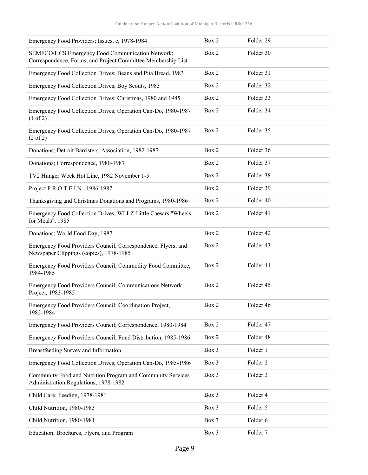| Emergency Food Providers; Issues, c, 1978-1984                                                                   | Box 2 | Folder 29           |
|------------------------------------------------------------------------------------------------------------------|-------|---------------------|
| SEMFCO/UCS Emergency Food Communication Network;<br>Correspondence, Forms, and Project Committee Membership List | Box 2 | Folder 30           |
| Emergency Food Collection Drives; Beans and Pita Bread, 1983                                                     | Box 2 | Folder 31           |
| Emergency Food Collection Drives; Boy Scouts, 1983                                                               | Box 2 | Folder 32           |
| Emergency Food Collection Drives; Christmas, 1980 and 1985                                                       | Box 2 | Folder 33           |
| Emergency Food Collection Drives; Operation Can-Do, 1980-1987<br>$(1 \text{ of } 2)$                             | Box 2 | Folder 34           |
| Emergency Food Collection Drives; Operation Can-Do, 1980-1987<br>$(2 \text{ of } 2)$                             | Box 2 | Folder 35           |
| Donations; Detroit Barristers' Association, 1982-1987                                                            | Box 2 | Folder 36           |
| Donations; Correspondence, 1980-1987                                                                             | Box 2 | Folder 37           |
| TV2 Hunger Week Hot Line, 1982 November 1-5                                                                      | Box 2 | Folder 38           |
| Project P.R.O.T.E.I.N., 1986-1987                                                                                | Box 2 | Folder 39           |
| Thanksgiving and Christmas Donations and Programs, 1980-1986                                                     | Box 2 | Folder 40           |
| Emergency Food Collection Drives; WLLZ-Little Caesars "Wheels<br>for Meals", 1985                                | Box 2 | Folder 41           |
| Donations; World Food Day, 1987                                                                                  | Box 2 | Folder 42           |
| Emergency Food Providers Council; Correspondence, Flyers, and<br>Newspaper Clippings (copies), 1978-1985         | Box 2 | Folder 43           |
| Emergency Food Providers Council; Commodity Food Committee,<br>1984-1985                                         | Box 2 | Folder 44           |
| Emergency Food Providers Council; Communications Network<br>Project, 1983-1985                                   | Box 2 | Folder 45           |
| Emergency Food Providers Council; Coordination Project,<br>1982-1984                                             | Box 2 | Folder 46           |
| Emergency Food Providers Council; Correspondence, 1980-1984                                                      | Box 2 | Folder 47           |
| Emergency Food Providers Council; Fund Distribution, 1985-1986                                                   | Box 2 | Folder 48           |
| Breastfeeding Survey and Information                                                                             | Box 3 | Folder 1            |
| Emergency Food Collection Drives; Operation Can-Do, 1985-1986                                                    | Box 3 | Folder <sub>2</sub> |
| Community Food and Nutrition Program and Community Services<br>Administration Regulations, 1978-1982             | Box 3 | Folder 3            |
| Child Care; Feeding, 1978-1981                                                                                   | Box 3 | Folder 4            |
| Child Nutrition, 1980-1983                                                                                       | Box 3 | Folder 5            |
| Child Nutrition, 1980-1981                                                                                       | Box 3 | Folder 6            |
| Education; Brochures, Flyers, and Program                                                                        | Box 3 | Folder 7            |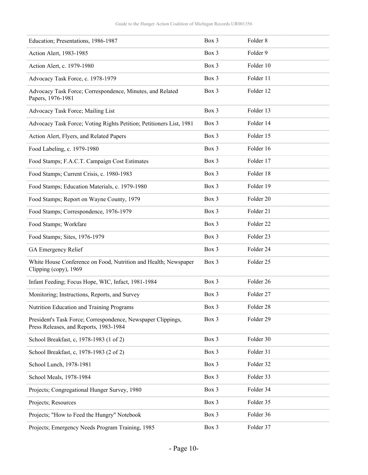| Education; Presentations, 1986-1987                                                                    | Box 3 | Folder <sub>8</sub>  |
|--------------------------------------------------------------------------------------------------------|-------|----------------------|
| Action Alert, 1983-1985                                                                                | Box 3 | Folder 9             |
| Action Alert, c. 1979-1980                                                                             | Box 3 | Folder 10            |
| Advocacy Task Force, c. 1978-1979                                                                      | Box 3 | Folder 11            |
| Advocacy Task Force; Correspondence, Minutes, and Related<br>Papers, 1976-1981                         | Box 3 | Folder 12            |
| Advocacy Task Force; Mailing List                                                                      | Box 3 | Folder 13            |
| Advocacy Task Force; Voting Rights Petition; Petitioners List, 1981                                    | Box 3 | Folder 14            |
| Action Alert, Flyers, and Related Papers                                                               | Box 3 | Folder 15            |
| Food Labeling, c. 1979-1980                                                                            | Box 3 | Folder 16            |
| Food Stamps; F.A.C.T. Campaign Cost Estimates                                                          | Box 3 | Folder 17            |
| Food Stamps; Current Crisis, c. 1980-1983                                                              | Box 3 | Folder 18            |
| Food Stamps; Education Materials, c. 1979-1980                                                         | Box 3 | Folder 19            |
| Food Stamps; Report on Wayne County, 1979                                                              | Box 3 | Folder 20            |
| Food Stamps; Correspondence, 1976-1979                                                                 | Box 3 | Folder 21            |
| Food Stamps; Workfare                                                                                  | Box 3 | Folder <sub>22</sub> |
| Food Stamps; Sites, 1976-1979                                                                          | Box 3 | Folder <sub>23</sub> |
| GA Emergency Relief                                                                                    | Box 3 | Folder 24            |
| White House Conference on Food, Nutrition and Health; Newspaper<br>Clipping (copy), 1969               | Box 3 | Folder 25            |
| Infant Feeding; Focus Hope, WIC, Infact, 1981-1984                                                     | Box 3 | Folder 26            |
| Monitoring; Instructions, Reports, and Survey                                                          | Box 3 | Folder 27            |
| Nutrition Education and Training Programs                                                              | Box 3 | Folder 28            |
| President's Task Force; Correspondence, Newspaper Clippings,<br>Press Releases, and Reports, 1983-1984 | Box 3 | Folder 29            |
| School Breakfast, c, 1978-1983 (1 of 2)                                                                | Box 3 | Folder 30            |
| School Breakfast, c, 1978-1983 (2 of 2)                                                                | Box 3 | Folder 31            |
| School Lunch, 1978-1981                                                                                | Box 3 | Folder 32            |
| School Meals, 1978-1984                                                                                | Box 3 | Folder 33            |
| Projects; Congregational Hunger Survey, 1980                                                           | Box 3 | Folder 34            |
| Projects; Resources                                                                                    | Box 3 | Folder 35            |
| Projects; "How to Feed the Hungry" Notebook                                                            | Box 3 | Folder 36            |
| Projects; Emergency Needs Program Training, 1985                                                       | Box 3 | Folder 37            |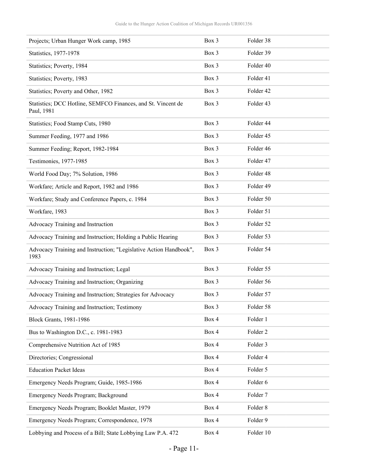| Projects; Urban Hunger Work camp, 1985                                     | Box 3 | Folder 38           |
|----------------------------------------------------------------------------|-------|---------------------|
| Statistics, 1977-1978                                                      | Box 3 | Folder 39           |
| Statistics; Poverty, 1984                                                  | Box 3 | Folder 40           |
| Statistics; Poverty, 1983                                                  | Box 3 | Folder 41           |
| Statistics; Poverty and Other, 1982                                        | Box 3 | Folder 42           |
| Statistics; DCC Hotline, SEMFCO Finances, and St. Vincent de<br>Paul, 1981 | Box 3 | Folder 43           |
| Statistics; Food Stamp Cuts, 1980                                          | Box 3 | Folder 44           |
| Summer Feeding, 1977 and 1986                                              | Box 3 | Folder 45           |
| Summer Feeding; Report, 1982-1984                                          | Box 3 | Folder 46           |
| Testimonies, 1977-1985                                                     | Box 3 | Folder 47           |
| World Food Day; 7% Solution, 1986                                          | Box 3 | Folder 48           |
| Workfare; Article and Report, 1982 and 1986                                | Box 3 | Folder 49           |
| Workfare; Study and Conference Papers, c. 1984                             | Box 3 | Folder 50           |
| Workfare, 1983                                                             | Box 3 | Folder 51           |
| Advocacy Training and Instruction                                          | Box 3 | Folder 52           |
| Advocacy Training and Instruction; Holding a Public Hearing                | Box 3 | Folder 53           |
| Advocacy Training and Instruction; "Legislative Action Handbook",<br>1983  | Box 3 | Folder 54           |
| Advocacy Training and Instruction; Legal                                   | Box 3 | Folder 55           |
| Advocacy Training and Instruction; Organizing                              | Box 3 | Folder 56           |
| Advocacy Training and Instruction; Strategies for Advocacy                 | Box 3 | Folder 57           |
| Advocacy Training and Instruction; Testimony                               | Box 3 | Folder 58           |
| <b>Block Grants</b> , 1981-1986                                            | Box 4 | Folder 1            |
| Bus to Washington D.C., c. 1981-1983                                       | Box 4 | Folder <sub>2</sub> |
| Comprehensive Nutrition Act of 1985                                        | Box 4 | Folder 3            |
| Directories; Congressional                                                 | Box 4 | Folder 4            |
| <b>Education Packet Ideas</b>                                              | Box 4 | Folder 5            |
| Emergency Needs Program; Guide, 1985-1986                                  | Box 4 | Folder 6            |
| Emergency Needs Program; Background                                        | Box 4 | Folder 7            |
| Emergency Needs Program; Booklet Master, 1979                              | Box 4 | Folder 8            |
| Emergency Needs Program; Correspondence, 1978                              | Box 4 | Folder 9            |
| Lobbying and Process of a Bill; State Lobbying Law P.A. 472                | Box 4 | Folder 10           |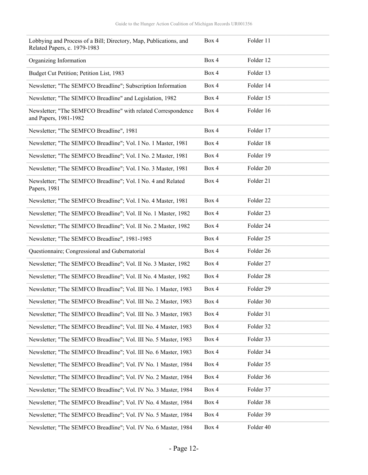| Lobbying and Process of a Bill; Directory, Map, Publications, and<br>Related Papers, c. 1979-1983 | Box 4 | Folder 11 |
|---------------------------------------------------------------------------------------------------|-------|-----------|
| Organizing Information                                                                            | Box 4 | Folder 12 |
| Budget Cut Petition; Petition List, 1983                                                          | Box 4 | Folder 13 |
| Newsletter; "The SEMFCO Breadline"; Subscription Information                                      | Box 4 | Folder 14 |
| Newsletter; "The SEMFCO Breadline" and Legislation, 1982                                          | Box 4 | Folder 15 |
| Newsletter; "The SEMFCO Breadline" with related Correspondence<br>and Papers, 1981-1982           | Box 4 | Folder 16 |
| Newsletter; "The SEMFCO Breadline", 1981                                                          | Box 4 | Folder 17 |
| Newsletter; "The SEMFCO Breadline"; Vol. I No. 1 Master, 1981                                     | Box 4 | Folder 18 |
| Newsletter; "The SEMFCO Breadline"; Vol. I No. 2 Master, 1981                                     | Box 4 | Folder 19 |
| Newsletter; "The SEMFCO Breadline"; Vol. I No. 3 Master, 1981                                     | Box 4 | Folder 20 |
| Newsletter; "The SEMFCO Breadline"; Vol. I No. 4 and Related<br>Papers, 1981                      | Box 4 | Folder 21 |
| Newsletter; "The SEMFCO Breadline"; Vol. I No. 4 Master, 1981                                     | Box 4 | Folder 22 |
| Newsletter; "The SEMFCO Breadline"; Vol. II No. 1 Master, 1982                                    | Box 4 | Folder 23 |
| Newsletter; "The SEMFCO Breadline"; Vol. II No. 2 Master, 1982                                    | Box 4 | Folder 24 |
| Newsletter; "The SEMFCO Breadline", 1981-1985                                                     | Box 4 | Folder 25 |
| Questionnaire; Congressional and Gubernatorial                                                    | Box 4 | Folder 26 |
| Newsletter; "The SEMFCO Breadline"; Vol. II No. 3 Master, 1982                                    | Box 4 | Folder 27 |
| Newsletter; "The SEMFCO Breadline"; Vol. II No. 4 Master, 1982                                    | Box 4 | Folder 28 |
| Newsletter; "The SEMFCO Breadline"; Vol. III No. 1 Master, 1983                                   | Box 4 | Folder 29 |
| Newsletter; "The SEMFCO Breadline"; Vol. III No. 2 Master, 1983                                   | Box 4 | Folder 30 |
| Newsletter; "The SEMFCO Breadline"; Vol. III No. 3 Master, 1983                                   | Box 4 | Folder 31 |
| Newsletter; "The SEMFCO Breadline"; Vol. III No. 4 Master, 1983                                   | Box 4 | Folder 32 |
| Newsletter; "The SEMFCO Breadline"; Vol. III No. 5 Master, 1983                                   | Box 4 | Folder 33 |
| Newsletter; "The SEMFCO Breadline"; Vol. III No. 6 Master, 1983                                   | Box 4 | Folder 34 |
| Newsletter; "The SEMFCO Breadline"; Vol. IV No. 1 Master, 1984                                    | Box 4 | Folder 35 |
| Newsletter; "The SEMFCO Breadline"; Vol. IV No. 2 Master, 1984                                    | Box 4 | Folder 36 |
| Newsletter; "The SEMFCO Breadline"; Vol. IV No. 3 Master, 1984                                    | Box 4 | Folder 37 |
| Newsletter; "The SEMFCO Breadline"; Vol. IV No. 4 Master, 1984                                    | Box 4 | Folder 38 |
| Newsletter; "The SEMFCO Breadline"; Vol. IV No. 5 Master, 1984                                    | Box 4 | Folder 39 |
| Newsletter; "The SEMFCO Breadline"; Vol. IV No. 6 Master, 1984                                    | Box 4 | Folder 40 |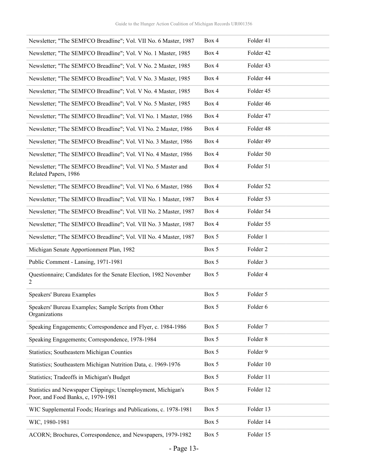| Newsletter; "The SEMFCO Breadline"; Vol. VII No. 6 Master, 1987                                    | Box 4 | Folder 41           |
|----------------------------------------------------------------------------------------------------|-------|---------------------|
| Newsletter; "The SEMFCO Breadline"; Vol. V No. 1 Master, 1985                                      | Box 4 | Folder 42           |
| Newsletter; "The SEMFCO Breadline"; Vol. V No. 2 Master, 1985                                      | Box 4 | Folder 43           |
| Newsletter; "The SEMFCO Breadline"; Vol. V No. 3 Master, 1985                                      | Box 4 | Folder 44           |
| Newsletter; "The SEMFCO Breadline"; Vol. V No. 4 Master, 1985                                      | Box 4 | Folder 45           |
| Newsletter; "The SEMFCO Breadline"; Vol. V No. 5 Master, 1985                                      | Box 4 | Folder 46           |
| Newsletter; "The SEMFCO Breadline"; Vol. VI No. 1 Master, 1986                                     | Box 4 | Folder 47           |
| Newsletter; "The SEMFCO Breadline"; Vol. VI No. 2 Master, 1986                                     | Box 4 | Folder 48           |
| Newsletter; "The SEMFCO Breadline"; Vol. VI No. 3 Master, 1986                                     | Box 4 | Folder 49           |
| Newsletter; "The SEMFCO Breadline"; Vol. VI No. 4 Master, 1986                                     | Box 4 | Folder 50           |
| Newsletter; "The SEMFCO Breadline"; Vol. VI No. 5 Master and<br>Related Papers, 1986               | Box 4 | Folder 51           |
| Newsletter; "The SEMFCO Breadline"; Vol. VI No. 6 Master, 1986                                     | Box 4 | Folder 52           |
| Newsletter; "The SEMFCO Breadline"; Vol. VII No. 1 Master, 1987                                    | Box 4 | Folder 53           |
| Newsletter; "The SEMFCO Breadline"; Vol. VII No. 2 Master, 1987                                    | Box 4 | Folder 54           |
| Newsletter; "The SEMFCO Breadline"; Vol. VII No. 3 Master, 1987                                    | Box 4 | Folder 55           |
| Newsletter; "The SEMFCO Breadline"; Vol. VII No. 4 Master, 1987                                    | Box 5 | Folder 1            |
| Michigan Senate Apportionment Plan, 1982                                                           | Box 5 | Folder <sub>2</sub> |
| Public Comment - Lansing, 1971-1981                                                                | Box 5 | Folder 3            |
| Questionnaire; Candidates for the Senate Election, 1982 November<br>2                              | Box 5 | Folder 4            |
| <b>Speakers' Bureau Examples</b>                                                                   | Box 5 | Folder 5            |
| Speakers' Bureau Examples; Sample Scripts from Other<br>Organizations                              | Box 5 | Folder 6            |
| Speaking Engagements; Correspondence and Flyer, c. 1984-1986                                       | Box 5 | Folder 7            |
| Speaking Engagements; Correspondence, 1978-1984                                                    | Box 5 | Folder 8            |
| <b>Statistics</b> ; Southeastern Michigan Counties                                                 | Box 5 | Folder 9            |
| Statistics; Southeastern Michigan Nutrition Data, c. 1969-1976                                     | Box 5 | Folder 10           |
| Statistics; Tradeoffs in Michigan's Budget                                                         | Box 5 | Folder 11           |
| Statistics and Newspaper Clippings; Unemployment, Michigan's<br>Poor, and Food Banks, c, 1979-1981 | Box 5 | Folder 12           |
| WIC Supplemental Foods; Hearings and Publications, c. 1978-1981                                    | Box 5 | Folder 13           |
| WIC, 1980-1981                                                                                     | Box 5 | Folder 14           |
| ACORN; Brochures, Correspondence, and Newspapers, 1979-1982                                        | Box 5 | Folder 15           |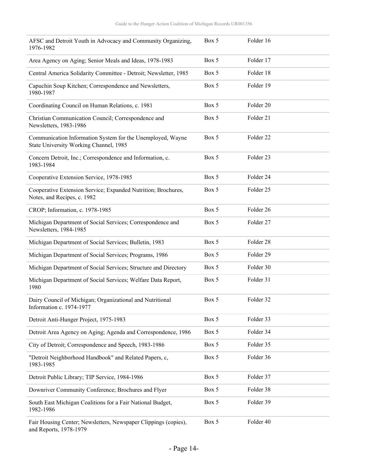| AFSC and Detroit Youth in Advocacy and Community Organizing,<br>1976-1982                            | Box 5 | Folder 16            |
|------------------------------------------------------------------------------------------------------|-------|----------------------|
| Area Agency on Aging; Senior Meals and Ideas, 1978-1983                                              | Box 5 | Folder 17            |
| Central America Solidarity Committee - Detroit; Newsletter, 1985                                     | Box 5 | Folder 18            |
| Capuchin Soup Kitchen; Correspondence and Newsletters,<br>1980-1987                                  | Box 5 | Folder 19            |
| Coordinating Council on Human Relations, c. 1981                                                     | Box 5 | Folder 20            |
| Christian Communication Council; Correspondence and<br>Newsletters, 1983-1986                        | Box 5 | Folder 21            |
| Communication Information System for the Unemployed, Wayne<br>State University Working Channel, 1985 | Box 5 | Folder <sub>22</sub> |
| Concern Detroit, Inc.; Correspondence and Information, c.<br>1983-1984                               | Box 5 | Folder 23            |
| Cooperative Extension Service, 1978-1985                                                             | Box 5 | Folder 24            |
| Cooperative Extension Service; Expanded Nutrition; Brochures,<br>Notes, and Recipes, c. 1982         | Box 5 | Folder 25            |
| CROP; Information, c. 1978-1985                                                                      | Box 5 | Folder 26            |
| Michigan Department of Social Services; Correspondence and<br>Newsletters, 1984-1985                 | Box 5 | Folder 27            |
| Michigan Department of Social Services; Bulletin, 1983                                               | Box 5 | Folder 28            |
| Michigan Department of Social Services; Programs, 1986                                               | Box 5 | Folder 29            |
| Michigan Department of Social Services; Structure and Directory                                      | Box 5 | Folder 30            |
| Michigan Department of Social Services; Welfare Data Report,<br>1980                                 | Box 5 | Folder 31            |
| Dairy Council of Michigan; Organizational and Nutritional<br>Information c. 1974-1977                | Box 5 | Folder 32            |
| Detroit Anti-Hunger Project, 1975-1983                                                               | Box 5 | Folder 33            |
| Detroit Area Agency on Aging; Agenda and Correspondence, 1986                                        | Box 5 | Folder 34            |
| City of Detroit; Correspondence and Speech, 1983-1986                                                | Box 5 | Folder 35            |
| "Detroit Neighborhood Handbook" and Related Papers, c,<br>1983-1985                                  | Box 5 | Folder 36            |
| Detroit Public Library; TIP Service, 1984-1986                                                       | Box 5 | Folder 37            |
| Downriver Community Conference; Brochures and Flyer                                                  | Box 5 | Folder 38            |
| South East Michigan Coalitions for a Fair National Budget,<br>1982-1986                              | Box 5 | Folder 39            |
| Fair Housing Center; Newsletters, Newspaper Clippings (copies),<br>and Reports, 1978-1979            | Box 5 | Folder 40            |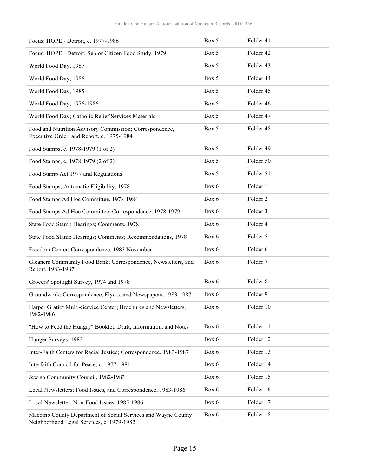| Focus: HOPE - Detroit, c. 1977-1986                                                                  | Box 5 | Folder 41           |
|------------------------------------------------------------------------------------------------------|-------|---------------------|
| Focus: HOPE - Detroit; Senior Citizen Food Study, 1979                                               | Box 5 | Folder 42           |
| World Food Day, 1987                                                                                 | Box 5 | Folder 43           |
| World Food Day, 1986                                                                                 | Box 5 | Folder 44           |
| World Food Day, 1985                                                                                 | Box 5 | Folder 45           |
| World Food Day, 1976-1986                                                                            | Box 5 | Folder 46           |
| World Food Day; Catholic Relief Services Materials                                                   | Box 5 | Folder 47           |
| Food and Nutrition Advisory Commission; Correspondence,<br>Executive Order, and Report, c. 1975-1984 | Box 5 | Folder 48           |
| Food Stamps, c. 1978-1979 (1 of 2)                                                                   | Box 5 | Folder 49           |
| Food Stamps, c. 1978-1979 (2 of 2)                                                                   | Box 5 | Folder 50           |
| Food Stamp Act 1977 and Regulations                                                                  | Box 5 | Folder 51           |
| Food Stamps; Automatic Eligibility, 1978                                                             | Box 6 | Folder 1            |
| Food Stamps Ad Hoc Committee, 1978-1984                                                              | Box 6 | Folder <sub>2</sub> |
| Food Stamps Ad Hoc Committee; Correspondence, 1978-1979                                              | Box 6 | Folder 3            |
| State Food Stamp Hearings; Comments, 1978                                                            | Box 6 | Folder 4            |
| State Food Stamp Hearings; Comments; Recommendations, 1978                                           | Box 6 | Folder 5            |
| Freedom Center; Correspondence, 1983 November                                                        | Box 6 | Folder 6            |
| Gleaners Community Food Bank; Correspondence, Newsletters, and<br>Report, 1983-1987                  | Box 6 | Folder 7            |
| Grocers' Spotlight Survey, 1974 and 1978                                                             | Box 6 | Folder <sub>8</sub> |
| Groundwork; Correspondence, Flyers, and Newspapers, 1983-1987                                        | Box 6 | Folder 9            |
| Harper Gratiot Multi-Service Center; Brochures and Newsletters,<br>1982-1986                         | Box 6 | Folder 10           |
| "How to Feed the Hungry" Booklet; Draft, Information, and Notes                                      | Box 6 | Folder 11           |
| Hunger Surveys, 1983                                                                                 | Box 6 | Folder 12           |
| Inter-Faith Centers for Racial Justice; Correspondence, 1983-1987                                    | Box 6 | Folder 13           |
| Interfaith Council for Peace, c. 1977-1981                                                           | Box 6 | Folder 14           |
| Jewish Community Council, 1982-1983                                                                  | Box 6 | Folder 15           |
| Local Newsletters; Food Issues, and Correspondence, 1983-1986                                        | Box 6 | Folder 16           |
| Local Newsletter; Non-Food Issues, 1985-1986                                                         | Box 6 | Folder 17           |
| Macomb County Department of Social Services and Wayne County                                         | Box 6 | Folder 18           |

Neighborhood Legal Services, c. 1979-1982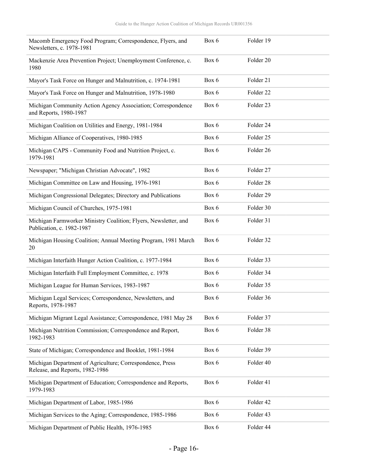| Macomb Emergency Food Program; Correspondence, Flyers, and<br>Newsletters, c. 1978-1981      | Box 6 | Folder 19 |
|----------------------------------------------------------------------------------------------|-------|-----------|
| Mackenzie Area Prevention Project; Unemployment Conference, c.<br>1980                       | Box 6 | Folder 20 |
| Mayor's Task Force on Hunger and Malnutrition, c. 1974-1981                                  | Box 6 | Folder 21 |
| Mayor's Task Force on Hunger and Malnutrition, 1978-1980                                     | Box 6 | Folder 22 |
| Michigan Community Action Agency Association; Correspondence<br>and Reports, 1980-1987       | Box 6 | Folder 23 |
| Michigan Coalition on Utilities and Energy, 1981-1984                                        | Box 6 | Folder 24 |
| Michigan Alliance of Cooperatives, 1980-1985                                                 | Box 6 | Folder 25 |
| Michigan CAPS - Community Food and Nutrition Project, c.<br>1979-1981                        | Box 6 | Folder 26 |
| Newspaper; "Michigan Christian Advocate", 1982                                               | Box 6 | Folder 27 |
| Michigan Committee on Law and Housing, 1976-1981                                             | Box 6 | Folder 28 |
| Michigan Congressional Delegates; Directory and Publications                                 | Box 6 | Folder 29 |
| Michigan Council of Churches, 1975-1981                                                      | Box 6 | Folder 30 |
| Michigan Farmworker Ministry Coalition; Flyers, Newsletter, and<br>Publication, c. 1982-1987 | Box 6 | Folder 31 |
| Michigan Housing Coalition; Annual Meeting Program, 1981 March<br>20                         | Box 6 | Folder 32 |
| Michigan Interfaith Hunger Action Coalition, c. 1977-1984                                    | Box 6 | Folder 33 |
| Michigan Interfaith Full Employment Committee, c. 1978                                       | Box 6 | Folder 34 |
| Michigan League for Human Services, 1983-1987                                                | Box 6 | Folder 35 |
| Michigan Legal Services; Correspondence, Newsletters, and<br>Reports, 1978-1987              | Box 6 | Folder 36 |
| Michigan Migrant Legal Assistance; Correspondence, 1981 May 28                               | Box 6 | Folder 37 |
| Michigan Nutrition Commission; Correspondence and Report,<br>1982-1983                       | Box 6 | Folder 38 |
| State of Michigan; Correspondence and Booklet, 1981-1984                                     | Box 6 | Folder 39 |
| Michigan Department of Agriculture; Correspondence, Press<br>Release, and Reports, 1982-1986 | Box 6 | Folder 40 |
| Michigan Department of Education; Correspondence and Reports,<br>1979-1983                   | Box 6 | Folder 41 |
| Michigan Department of Labor, 1985-1986                                                      | Box 6 | Folder 42 |
| Michigan Services to the Aging; Correspondence, 1985-1986                                    | Box 6 | Folder 43 |
| Michigan Department of Public Health, 1976-1985                                              | Box 6 | Folder 44 |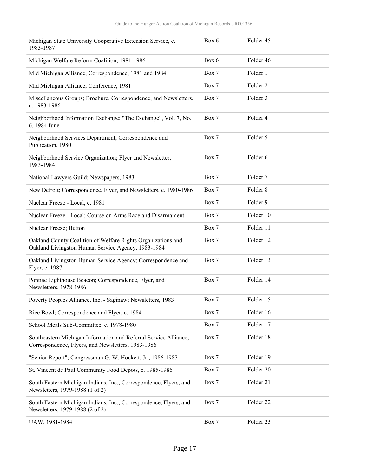| Michigan State University Cooperative Extension Service, c.<br>1983-1987                                               | Box 6 | Folder 45           |
|------------------------------------------------------------------------------------------------------------------------|-------|---------------------|
| Michigan Welfare Reform Coalition, 1981-1986                                                                           | Box 6 | Folder 46           |
| Mid Michigan Alliance; Correspondence, 1981 and 1984                                                                   | Box 7 | Folder 1            |
| Mid Michigan Alliance; Conference, 1981                                                                                | Box 7 | Folder <sub>2</sub> |
| Miscellaneous Groups; Brochure, Correspondence, and Newsletters,<br>c. 1983-1986                                       | Box 7 | Folder 3            |
| Neighborhood Information Exchange; "The Exchange", Vol. 7, No.<br>6, 1984 June                                         | Box 7 | Folder 4            |
| Neighborhood Services Department; Correspondence and<br>Publication, 1980                                              | Box 7 | Folder 5            |
| Neighborhood Service Organization; Flyer and Newsletter,<br>1983-1984                                                  | Box 7 | Folder 6            |
| National Lawyers Guild; Newspapers, 1983                                                                               | Box 7 | Folder <sub>7</sub> |
| New Detroit; Correspondence, Flyer, and Newsletters, c. 1980-1986                                                      | Box 7 | Folder <sub>8</sub> |
| Nuclear Freeze - Local, c. 1981                                                                                        | Box 7 | Folder 9            |
| Nuclear Freeze - Local; Course on Arms Race and Disarmament                                                            | Box 7 | Folder 10           |
| Nuclear Freeze; Button                                                                                                 | Box 7 | Folder 11           |
| Oakland County Coalition of Welfare Rights Organizations and<br>Oakland Livingston Human Service Agency, 1983-1984     | Box 7 | Folder 12           |
| Oakland Livingston Human Service Agency; Correspondence and<br>Flyer, c. 1987                                          | Box 7 | Folder 13           |
| Pontiac Lighthouse Beacon; Correspondence, Flyer, and<br>Newsletters, 1978-1986                                        | Box 7 | Folder 14           |
| Poverty Peoples Alliance, Inc. - Saginaw; Newsletters, 1983                                                            | Box 7 | Folder 15           |
| Rice Bowl; Correspondence and Flyer, c. 1984                                                                           | Box 7 | Folder 16           |
| School Meals Sub-Committee, c. 1978-1980                                                                               | Box 7 | Folder 17           |
| Southeastern Michigan Information and Referral Service Alliance;<br>Correspondence, Flyers, and Newsletters, 1983-1986 | Box 7 | Folder 18           |
| "Senior Report"; Congressman G. W. Hockett, Jr., 1986-1987                                                             | Box 7 | Folder 19           |
| St. Vincent de Paul Community Food Depots, c. 1985-1986                                                                | Box 7 | Folder 20           |
| South Eastern Michigan Indians, Inc.; Correspondence, Flyers, and<br>Newsletters, 1979-1988 (1 of 2)                   | Box 7 | Folder 21           |
| South Eastern Michigan Indians, Inc.; Correspondence, Flyers, and<br>Newsletters, 1979-1988 (2 of 2)                   | Box 7 | Folder 22           |
| UAW, 1981-1984                                                                                                         | Box 7 | Folder 23           |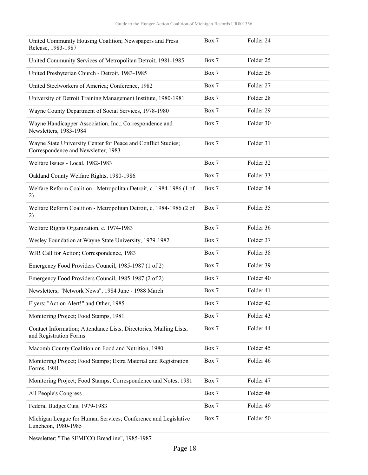| United Community Housing Coalition; Newspapers and Press<br>Release, 1983-1987                       | Box 7 | Folder 24            |
|------------------------------------------------------------------------------------------------------|-------|----------------------|
| United Community Services of Metropolitan Detroit, 1981-1985                                         | Box 7 | Folder 25            |
| United Presbyterian Church - Detroit, 1983-1985                                                      | Box 7 | Folder 26            |
| United Steelworkers of America; Conference, 1982                                                     | Box 7 | Folder 27            |
| University of Detroit Training Management Institute, 1980-1981                                       | Box 7 | Folder 28            |
| Wayne County Department of Social Services, 1978-1980                                                | Box 7 | Folder 29            |
| Wayne Handicapper Association, Inc.; Correspondence and<br>Newsletters, 1983-1984                    | Box 7 | Folder 30            |
| Wayne State University Center for Peace and Conflict Studies;<br>Correspondence and Newsletter, 1983 | Box 7 | Folder 31            |
| Welfare Issues - Local, 1982-1983                                                                    | Box 7 | Folder 32            |
| Oakland County Welfare Rights, 1980-1986                                                             | Box 7 | Folder 33            |
| Welfare Reform Coalition - Metropolitan Detroit, c. 1984-1986 (1 of<br>2)                            | Box 7 | Folder 34            |
| Welfare Reform Coalition - Metropolitan Detroit, c. 1984-1986 (2 of<br>2)                            | Box 7 | Folder 35            |
| Welfare Rights Organization, c. 1974-1983                                                            | Box 7 | Folder 36            |
| Wesley Foundation at Wayne State University, 1979-1982                                               | Box 7 | Folder 37            |
| WJR Call for Action; Correspondence, 1983                                                            | Box 7 | Folder 38            |
| Emergency Food Providers Council, 1985-1987 (1 of 2)                                                 | Box 7 | Folder 39            |
| Emergency Food Providers Council, 1985-1987 (2 of 2)                                                 | Box 7 | Folder 40            |
| Newsletters; "Network News", 1984 June - 1988 March                                                  | Box 7 | Folder 41            |
| Flyers; "Action Alert!" and Other, 1985                                                              | Box 7 | Folder <sub>42</sub> |
| Monitoring Project; Food Stamps, 1981                                                                | Box 7 | Folder 43            |
| Contact Information; Attendance Lists, Directories, Mailing Lists,<br>and Registration Forms         | Box 7 | Folder 44            |
| Macomb County Coalition on Food and Nutrition, 1980                                                  | Box 7 | Folder 45            |
| Monitoring Project; Food Stamps; Extra Material and Registration<br>Forms, 1981                      | Box 7 | Folder 46            |
| Monitoring Project; Food Stamps; Correspondence and Notes, 1981                                      | Box 7 | Folder 47            |
| All People's Congress                                                                                | Box 7 | Folder 48            |
| Federal Budget Cuts, 1979-1983                                                                       | Box 7 | Folder 49            |
| Michigan League for Human Services; Conference and Legislative<br>Luncheon, 1980-1985                | Box 7 | Folder 50            |

Newsletter; "The SEMFCO Breadline", 1985-1987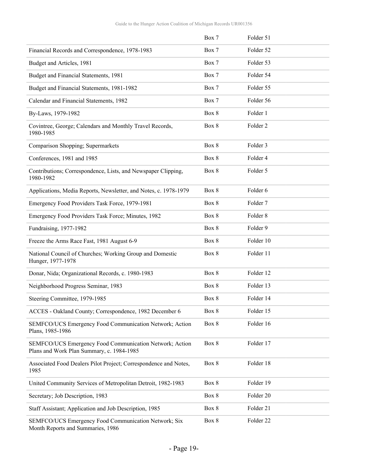|                                                                                                      | Box 7 | Folder 51           |
|------------------------------------------------------------------------------------------------------|-------|---------------------|
| Financial Records and Correspondence, 1978-1983                                                      | Box 7 | Folder 52           |
| Budget and Articles, 1981                                                                            | Box 7 | Folder 53           |
| Budget and Financial Statements, 1981                                                                | Box 7 | Folder 54           |
| Budget and Financial Statements, 1981-1982                                                           | Box 7 | Folder 55           |
| Calendar and Financial Statements, 1982                                                              | Box 7 | Folder 56           |
| By-Laws, 1979-1982                                                                                   | Box 8 | Folder 1            |
| Covintree, George; Calendars and Monthly Travel Records,<br>1980-1985                                | Box 8 | Folder <sub>2</sub> |
| Comparison Shopping; Supermarkets                                                                    | Box 8 | Folder 3            |
| Conferences, 1981 and 1985                                                                           | Box 8 | Folder 4            |
| Contributions; Correspondence, Lists, and Newspaper Clipping,<br>1980-1982                           | Box 8 | Folder 5            |
| Applications, Media Reports, Newsletter, and Notes, c. 1978-1979                                     | Box 8 | Folder 6            |
| Emergency Food Providers Task Force, 1979-1981                                                       | Box 8 | Folder 7            |
| Emergency Food Providers Task Force; Minutes, 1982                                                   | Box 8 | Folder 8            |
| Fundraising, 1977-1982                                                                               | Box 8 | Folder 9            |
| Freeze the Arms Race Fast, 1981 August 6-9                                                           | Box 8 | Folder 10           |
| National Council of Churches; Working Group and Domestic<br>Hunger, 1977-1978                        | Box 8 | Folder 11           |
| Donar, Nida; Organizational Records, c. 1980-1983                                                    | Box 8 | Folder 12           |
| Neighborhood Progress Seminar, 1983                                                                  | Box 8 | Folder 13           |
| Steering Committee, 1979-1985                                                                        | Box 8 | Folder 14           |
| ACCES - Oakland County; Correspondence, 1982 December 6                                              | Box 8 | Folder 15           |
| SEMFCO/UCS Emergency Food Communication Network; Action<br>Plans, 1985-1986                          | Box 8 | Folder 16           |
| SEMFCO/UCS Emergency Food Communication Network; Action<br>Plans and Work Plan Summary, c. 1984-1985 | Box 8 | Folder 17           |
| Associated Food Dealers Pilot Project; Correspondence and Notes,<br>1985                             | Box 8 | Folder 18           |
| United Community Services of Metropolitan Detroit, 1982-1983                                         | Box 8 | Folder 19           |
| Secretary; Job Description, 1983                                                                     | Box 8 | Folder 20           |
| Staff Assistant; Application and Job Description, 1985                                               | Box 8 | Folder 21           |
| SEMFCO/UCS Emergency Food Communication Network; Six<br>Month Reports and Summaries, 1986            | Box 8 | Folder 22           |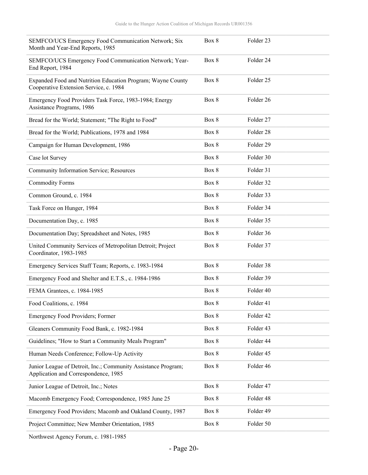| SEMFCO/UCS Emergency Food Communication Network; Six<br>Month and Year-End Reports, 1985              | Box 8 | Folder 23 |
|-------------------------------------------------------------------------------------------------------|-------|-----------|
| SEMFCO/UCS Emergency Food Communication Network; Year-<br>End Report, 1984                            | Box 8 | Folder 24 |
| Expanded Food and Nutrition Education Program; Wayne County<br>Cooperative Extension Service, c. 1984 | Box 8 | Folder 25 |
| Emergency Food Providers Task Force, 1983-1984; Energy<br>Assistance Programs, 1986                   | Box 8 | Folder 26 |
| Bread for the World; Statement; "The Right to Food"                                                   | Box 8 | Folder 27 |
| Bread for the World; Publications, 1978 and 1984                                                      | Box 8 | Folder 28 |
| Campaign for Human Development, 1986                                                                  | Box 8 | Folder 29 |
| Case lot Survey                                                                                       | Box 8 | Folder 30 |
| Community Information Service; Resources                                                              | Box 8 | Folder 31 |
| <b>Commodity Forms</b>                                                                                | Box 8 | Folder 32 |
| Common Ground, c. 1984                                                                                | Box 8 | Folder 33 |
| Task Force on Hunger, 1984                                                                            | Box 8 | Folder 34 |
| Documentation Day, c. 1985                                                                            | Box 8 | Folder 35 |
| Documentation Day; Spreadsheet and Notes, 1985                                                        | Box 8 | Folder 36 |
| United Community Services of Metropolitan Detroit; Project<br>Coordinator, 1983-1985                  | Box 8 | Folder 37 |
| Emergency Services Staff Team; Reports, c. 1983-1984                                                  | Box 8 | Folder 38 |
| Emergency Food and Shelter and E.T.S., c. 1984-1986                                                   | Box 8 | Folder 39 |
| FEMA Grantees, c. 1984-1985                                                                           | Box 8 | Folder 40 |
| Food Coalitions, c. 1984                                                                              | Box 8 | Folder 41 |
| Emergency Food Providers; Former                                                                      | Box 8 | Folder 42 |
| Gleaners Community Food Bank, c. 1982-1984                                                            | Box 8 | Folder 43 |
| Guidelines; "How to Start a Community Meals Program"                                                  | Box 8 | Folder 44 |
| Human Needs Conference; Follow-Up Activity                                                            | Box 8 | Folder 45 |
| Junior League of Detroit, Inc.; Community Assistance Program;<br>Application and Correspondence, 1985 | Box 8 | Folder 46 |
| Junior League of Detroit, Inc.; Notes                                                                 | Box 8 | Folder 47 |
| Macomb Emergency Food; Correspondence, 1985 June 25                                                   | Box 8 | Folder 48 |
| Emergency Food Providers; Macomb and Oakland County, 1987                                             | Box 8 | Folder 49 |
| Project Committee; New Member Orientation, 1985                                                       | Box 8 | Folder 50 |
|                                                                                                       |       |           |

Northwest Agency Forum, c. 1981-1985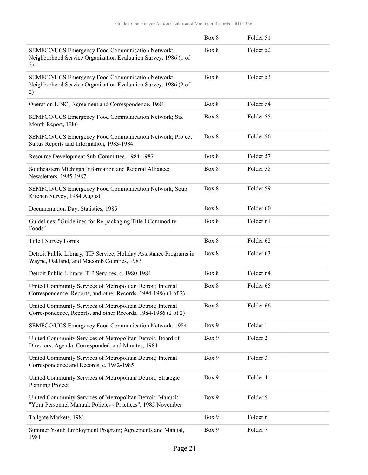|                                                                                                                               | Box 8 | Folder 51            |
|-------------------------------------------------------------------------------------------------------------------------------|-------|----------------------|
| SEMFCO/UCS Emergency Food Communication Network;<br>Neighborhood Service Organization Evaluation Survey, 1986 (1 of<br>2)     | Box 8 | Folder 52            |
| SEMFCO/UCS Emergency Food Communication Network;<br>Neighborhood Service Organization Evaluation Survey, 1986 (2 of<br>2)     | Box 8 | Folder 53            |
| Operation LINC; Agreement and Correspondence, 1984                                                                            | Box 8 | Folder 54            |
| SEMFCO/UCS Emergency Food Communication Network; Six<br>Month Report, 1986                                                    | Box 8 | Folder 55            |
| SEMFCO/UCS Emergency Food Communication Network; Project<br>Status Reports and Information, 1983-1984                         | Box 8 | Folder 56            |
| Resource Development Sub-Committee, 1984-1987                                                                                 | Box 8 | Folder 57            |
| Southeastern Michigan Information and Referral Alliance;<br>Newsletters, 1985-1987                                            | Box 8 | Folder 58            |
| SEMFCO/UCS Emergency Food Communication Network; Soup<br>Kitchen Survey, 1984 August                                          | Box 8 | Folder 59            |
| Documentation Day; Statistics, 1985                                                                                           | Box 8 | Folder <sub>60</sub> |
| Guidelines; "Guidelines for Re-packaging Title I Commodity<br>Foods"                                                          | Box 8 | Folder 61            |
| Title I Survey Forms                                                                                                          | Box 8 | Folder 62            |
| Detroit Public Library; TIP Service; Holiday Assistance Programs in<br>Wayne, Oakland, and Macomb Counties, 1983              | Box 8 | Folder <sub>63</sub> |
| Detroit Public Library; TIP Services, c. 1980-1984                                                                            | Box 8 | Folder 64            |
| United Community Services of Metropolitan Detroit; Internal<br>Correspondence, Reports, and other Records, 1984-1986 (1 of 2) | Box 8 | Folder <sub>65</sub> |
| United Community Services of Metropolitan Detroit; Internal<br>Correspondence, Reports, and other Records, 1984-1986 (2 of 2) | Box 8 | Folder 66            |
| SEMFCO/UCS Emergency Food Communication Network, 1984                                                                         | Box 9 | Folder 1             |
| United Community Services of Metropolitan Detroit; Board of<br>Directors; Agenda, Corresponded, and Minutes, 1984             | Box 9 | Folder <sub>2</sub>  |
| United Community Services of Metropolitan Detroit; Internal<br>Correspondence and Records, c. 1982-1985                       | Box 9 | Folder 3             |
| United Community Services of Metropolitan Detroit; Strategic<br>Planning Project                                              | Box 9 | Folder 4             |
| United Community Services of Metropolitan Detroit; Manual;<br>"Your Personnel Manual: Policies - Practices", 1985 November    | Box 9 | Folder 5             |
| Tailgate Markets, 1981                                                                                                        | Box 9 | Folder 6             |
| Summer Youth Employment Program; Agreements and Manual,<br>1981                                                               | Box 9 | Folder <sub>7</sub>  |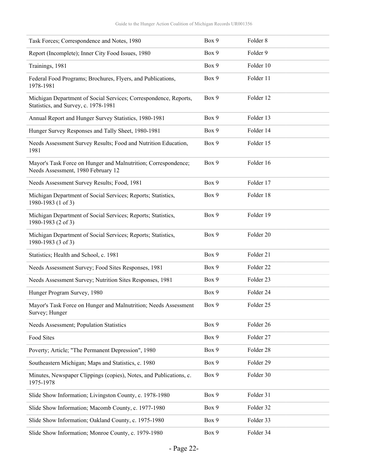| Task Forces; Correspondence and Notes, 1980                                                              | Box 9 | Folder 8             |
|----------------------------------------------------------------------------------------------------------|-------|----------------------|
| Report (Incomplete); Inner City Food Issues, 1980                                                        | Box 9 | Folder 9             |
| Trainings, 1981                                                                                          | Box 9 | Folder 10            |
| Federal Food Programs; Brochures, Flyers, and Publications,<br>1978-1981                                 | Box 9 | Folder 11            |
| Michigan Department of Social Services; Correspondence, Reports,<br>Statistics, and Survey, c. 1978-1981 | Box 9 | Folder 12            |
| Annual Report and Hunger Survey Statistics, 1980-1981                                                    | Box 9 | Folder 13            |
| Hunger Survey Responses and Tally Sheet, 1980-1981                                                       | Box 9 | Folder 14            |
| Needs Assessment Survey Results; Food and Nutrition Education,<br>1981                                   | Box 9 | Folder 15            |
| Mayor's Task Force on Hunger and Malnutrition; Correspondence;<br>Needs Assessment, 1980 February 12     | Box 9 | Folder 16            |
| Needs Assessment Survey Results; Food, 1981                                                              | Box 9 | Folder 17            |
| Michigan Department of Social Services; Reports; Statistics,<br>1980-1983 (1 of 3)                       | Box 9 | Folder 18            |
| Michigan Department of Social Services; Reports; Statistics,<br>1980-1983 (2 of 3)                       | Box 9 | Folder 19            |
| Michigan Department of Social Services; Reports; Statistics,<br>1980-1983 (3 of 3)                       | Box 9 | Folder 20            |
| Statistics; Health and School, c. 1981                                                                   | Box 9 | Folder 21            |
| Needs Assessment Survey; Food Sites Responses, 1981                                                      | Box 9 | Folder 22            |
| Needs Assessment Survey; Nutrition Sites Responses, 1981                                                 | Box 9 | Folder <sub>23</sub> |
| Hunger Program Survey, 1980                                                                              | Box 9 | Folder 24            |
| Mayor's Task Force on Hunger and Malnutrition; Needs Assessment<br>Survey; Hunger                        | Box 9 | Folder 25            |
| Needs Assessment; Population Statistics                                                                  | Box 9 | Folder 26            |
| Food Sites                                                                                               | Box 9 | Folder 27            |
| Poverty; Article; "The Permanent Depression", 1980                                                       | Box 9 | Folder 28            |
| Southeastern Michigan; Maps and Statistics, c. 1980                                                      | Box 9 | Folder 29            |
| Minutes, Newspaper Clippings (copies), Notes, and Publications, c.<br>1975-1978                          | Box 9 | Folder 30            |
| Slide Show Information; Livingston County, c. 1978-1980                                                  | Box 9 | Folder 31            |
| Slide Show Information; Macomb County, c. 1977-1980                                                      | Box 9 | Folder 32            |
| Slide Show Information; Oakland County, c. 1975-1980                                                     | Box 9 | Folder 33            |
| Slide Show Information; Monroe County, c. 1979-1980                                                      | Box 9 | Folder 34            |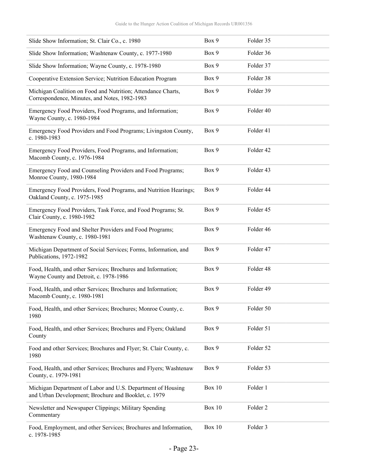| Slide Show Information; St. Clair Co., c. 1980                                                                      | Box 9         | Folder 35 |
|---------------------------------------------------------------------------------------------------------------------|---------------|-----------|
| Slide Show Information; Washtenaw County, c. 1977-1980                                                              | Box 9         | Folder 36 |
| Slide Show Information; Wayne County, c. 1978-1980                                                                  | Box 9         | Folder 37 |
| Cooperative Extension Service; Nutrition Education Program                                                          | Box 9         | Folder 38 |
| Michigan Coalition on Food and Nutrition; Attendance Charts,<br>Correspondence, Minutes, and Notes, 1982-1983       | Box 9         | Folder 39 |
| Emergency Food Providers, Food Programs, and Information;<br>Wayne County, c. 1980-1984                             | Box 9         | Folder 40 |
| Emergency Food Providers and Food Programs; Livingston County,<br>c. 1980-1983                                      | Box 9         | Folder 41 |
| Emergency Food Providers, Food Programs, and Information;<br>Macomb County, c. 1976-1984                            | Box 9         | Folder 42 |
| Emergency Food and Counseling Providers and Food Programs;<br>Monroe County, 1980-1984                              | Box 9         | Folder 43 |
| Emergency Food Providers, Food Programs, and Nutrition Hearings;<br>Oakland County, c. 1975-1985                    | Box 9         | Folder 44 |
| Emergency Food Providers, Task Force, and Food Programs; St.<br>Clair County, c. 1980-1982                          | Box 9         | Folder 45 |
| Emergency Food and Shelter Providers and Food Programs;<br>Washtenaw County, c. 1980-1981                           | Box 9         | Folder 46 |
| Michigan Department of Social Services; Forms, Information, and<br>Publications, 1972-1982                          | Box 9         | Folder 47 |
| Food, Health, and other Services; Brochures and Information;<br>Wayne County and Detroit, c. 1978-1986              | Box 9         | Folder 48 |
| Food, Health, and other Services; Brochures and Information;<br>Macomb County, c. 1980-1981                         | Box 9         | Folder 49 |
| Food, Health, and other Services; Brochures; Monroe County, c.<br>1980                                              | Box 9         | Folder 50 |
| Food, Health, and other Services; Brochures and Flyers; Oakland<br>County                                           | Box 9         | Folder 51 |
| Food and other Services; Brochures and Flyer; St. Clair County, c.<br>1980                                          | Box 9         | Folder 52 |
| Food, Health, and other Services; Brochures and Flyers; Washtenaw<br>County, c. 1979-1981                           | Box 9         | Folder 53 |
| Michigan Department of Labor and U.S. Department of Housing<br>and Urban Development; Brochure and Booklet, c. 1979 | <b>Box 10</b> | Folder 1  |
| Newsletter and Newspaper Clippings; Military Spending<br>Commentary                                                 | <b>Box 10</b> | Folder 2  |
| Food, Employment, and other Services; Brochures and Information,<br>c. 1978-1985                                    | Box 10        | Folder 3  |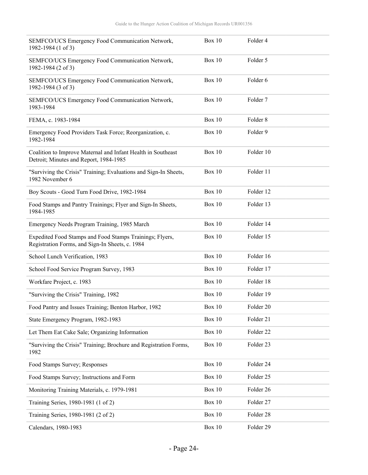| SEMFCO/UCS Emergency Food Communication Network,<br>1982-1984 (1 of 3)                                      | Box 10        | Folder 4            |
|-------------------------------------------------------------------------------------------------------------|---------------|---------------------|
| SEMFCO/UCS Emergency Food Communication Network,<br>1982-1984 (2 of 3)                                      | Box 10        | Folder 5            |
| SEMFCO/UCS Emergency Food Communication Network,<br>1982-1984 (3 of 3)                                      | Box 10        | Folder <sub>6</sub> |
| SEMFCO/UCS Emergency Food Communication Network,<br>1983-1984                                               | Box 10        | Folder 7            |
| FEMA, c. 1983-1984                                                                                          | Box 10        | Folder 8            |
| Emergency Food Providers Task Force; Reorganization, c.<br>1982-1984                                        | <b>Box 10</b> | Folder 9            |
| Coalition to Improve Maternal and Infant Health in Southeast<br>Detroit; Minutes and Report, 1984-1985      | Box 10        | Folder 10           |
| "Surviving the Crisis" Training; Evaluations and Sign-In Sheets,<br>1982 November 6                         | <b>Box 10</b> | Folder 11           |
| Boy Scouts - Good Turn Food Drive, 1982-1984                                                                | Box 10        | Folder 12           |
| Food Stamps and Pantry Trainings; Flyer and Sign-In Sheets,<br>1984-1985                                    | <b>Box 10</b> | Folder 13           |
| Emergency Needs Program Training, 1985 March                                                                | Box 10        | Folder 14           |
| Expedited Food Stamps and Food Stamps Trainings; Flyers,<br>Registration Forms, and Sign-In Sheets, c. 1984 | Box 10        | Folder 15           |
| School Lunch Verification, 1983                                                                             | Box 10        | Folder 16           |
| School Food Service Program Survey, 1983                                                                    | <b>Box 10</b> | Folder 17           |
| Workfare Project, c. 1983                                                                                   | Box 10        | Folder 18           |
| "Surviving the Crisis" Training, 1982                                                                       | Box 10        | Folder 19           |
| Food Pantry and Issues Training; Benton Harbor, 1982                                                        | <b>Box 10</b> | Folder 20           |
| State Emergency Program, 1982-1983                                                                          | <b>Box 10</b> | Folder 21           |
| Let Them Eat Cake Sale; Organizing Information                                                              | <b>Box 10</b> | Folder 22           |
| "Surviving the Crisis" Training; Brochure and Registration Forms,<br>1982                                   | <b>Box 10</b> | Folder 23           |
| Food Stamps Survey; Responses                                                                               | <b>Box 10</b> | Folder 24           |
| Food Stamps Survey; Instructions and Form                                                                   | <b>Box 10</b> | Folder 25           |
| Monitoring Training Materials, c. 1979-1981                                                                 | <b>Box 10</b> | Folder 26           |
| Training Series, 1980-1981 (1 of 2)                                                                         | <b>Box 10</b> | Folder 27           |
| Training Series, 1980-1981 (2 of 2)                                                                         | <b>Box 10</b> | Folder 28           |
| Calendars, 1980-1983                                                                                        | <b>Box 10</b> | Folder 29           |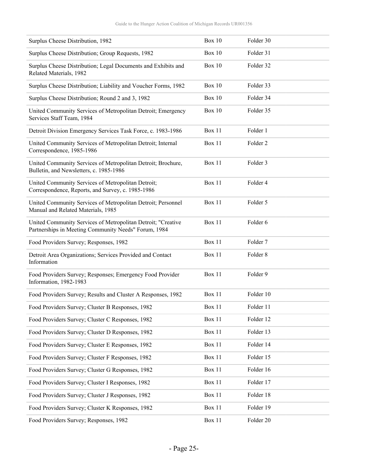| Surplus Cheese Distribution, 1982                                                                                    | <b>Box 10</b> | Folder 30           |
|----------------------------------------------------------------------------------------------------------------------|---------------|---------------------|
| Surplus Cheese Distribution; Group Requests, 1982                                                                    | <b>Box 10</b> | Folder 31           |
| Surplus Cheese Distribution; Legal Documents and Exhibits and<br>Related Materials, 1982                             | <b>Box 10</b> | Folder 32           |
| Surplus Cheese Distribution; Liability and Voucher Forms, 1982                                                       | <b>Box 10</b> | Folder 33           |
| Surplus Cheese Distribution; Round 2 and 3, 1982                                                                     | <b>Box 10</b> | Folder 34           |
| United Community Services of Metropolitan Detroit; Emergency<br>Services Staff Team, 1984                            | <b>Box 10</b> | Folder 35           |
| Detroit Division Emergency Services Task Force, c. 1983-1986                                                         | Box 11        | Folder 1            |
| United Community Services of Metropolitan Detroit; Internal<br>Correspondence, 1985-1986                             | Box 11        | Folder <sub>2</sub> |
| United Community Services of Metropolitan Detroit; Brochure,<br>Bulletin, and Newsletters, c. 1985-1986              | Box 11        | Folder 3            |
| United Community Services of Metropolitan Detroit;<br>Correspondence, Reports, and Survey, c. 1985-1986              | Box 11        | Folder 4            |
| United Community Services of Metropolitan Detroit; Personnel<br>Manual and Related Materials, 1985                   | Box 11        | Folder 5            |
| United Community Services of Metropolitan Detroit; "Creative<br>Partnerships in Meeting Community Needs" Forum, 1984 | Box 11        | Folder 6            |
| Food Providers Survey; Responses, 1982                                                                               | Box 11        | Folder 7            |
| Detroit Area Organizations; Services Provided and Contact<br>Information                                             | <b>Box 11</b> | Folder 8            |
| Food Providers Survey; Responses; Emergency Food Provider<br>Information, 1982-1983                                  | Box 11        | Folder 9            |
| Food Providers Survey; Results and Cluster A Responses, 1982                                                         | Box 11        | Folder 10           |
| Food Providers Survey; Cluster B Responses, 1982                                                                     | Box 11        | Folder 11           |
| Food Providers Survey; Cluster C Responses, 1982                                                                     | Box 11        | Folder 12           |
| Food Providers Survey; Cluster D Responses, 1982                                                                     | Box 11        | Folder 13           |
| Food Providers Survey; Cluster E Responses, 1982                                                                     | Box 11        | Folder 14           |
| Food Providers Survey; Cluster F Responses, 1982                                                                     | Box 11        | Folder 15           |
| Food Providers Survey; Cluster G Responses, 1982                                                                     | Box 11        | Folder 16           |
| Food Providers Survey; Cluster I Responses, 1982                                                                     | Box 11        | Folder 17           |
| Food Providers Survey; Cluster J Responses, 1982                                                                     | Box 11        | Folder 18           |
| Food Providers Survey; Cluster K Responses, 1982                                                                     | Box 11        | Folder 19           |
| Food Providers Survey; Responses, 1982                                                                               | Box 11        | Folder 20           |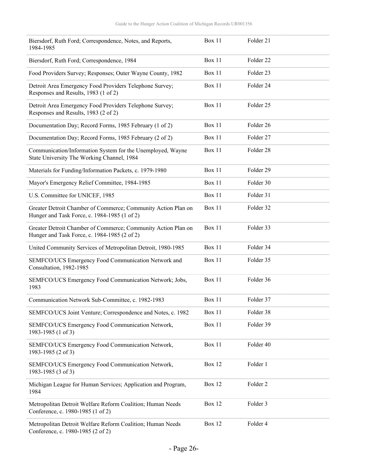| Biersdorf, Ruth Ford; Correspondence, Notes, and Reports,<br>1984-1985                                        | Box 11        | Folder 21           |
|---------------------------------------------------------------------------------------------------------------|---------------|---------------------|
| Biersdorf, Ruth Ford; Correspondence, 1984                                                                    | Box 11        | Folder 22           |
| Food Providers Survey; Responses; Outer Wayne County, 1982                                                    | Box 11        | Folder 23           |
| Detroit Area Emergency Food Providers Telephone Survey;<br>Responses and Results, 1983 (1 of 2)               | Box 11        | Folder 24           |
| Detroit Area Emergency Food Providers Telephone Survey;<br>Responses and Results, 1983 (2 of 2)               | Box 11        | Folder 25           |
| Documentation Day; Record Forms, 1985 February (1 of 2)                                                       | Box 11        | Folder 26           |
| Documentation Day; Record Forms, 1985 February (2 of 2)                                                       | <b>Box 11</b> | Folder 27           |
| Communication/Information System for the Unemployed, Wayne<br>State University The Working Channel, 1984      | Box 11        | Folder 28           |
| Materials for Funding/Information Packets, c. 1979-1980                                                       | <b>Box 11</b> | Folder 29           |
| Mayor's Emergency Relief Committee, 1984-1985                                                                 | Box 11        | Folder 30           |
| U.S. Committee for UNICEF, 1985                                                                               | Box 11        | Folder 31           |
| Greater Detroit Chamber of Commerce; Community Action Plan on<br>Hunger and Task Force, c. 1984-1985 (1 of 2) | Box 11        | Folder 32           |
| Greater Detroit Chamber of Commerce; Community Action Plan on<br>Hunger and Task Force, c. 1984-1985 (2 of 2) | Box 11        | Folder 33           |
| United Community Services of Metropolitan Detroit, 1980-1985                                                  | Box 11        | Folder 34           |
| SEMFCO/UCS Emergency Food Communication Network and<br>Consultation, 1982-1985                                | Box 11        | Folder 35           |
| SEMFCO/UCS Emergency Food Communication Network; Jobs,<br>1983                                                | Box 11        | Folder 36           |
| Communication Network Sub-Committee, c. 1982-1983                                                             | Box 11        | Folder 37           |
| SEMFCO/UCS Joint Venture; Correspondence and Notes, c. 1982                                                   | Box 11        | Folder 38           |
| SEMFCO/UCS Emergency Food Communication Network,<br>1983-1985 (1 of 3)                                        | Box 11        | Folder 39           |
| SEMFCO/UCS Emergency Food Communication Network,<br>1983-1985 (2 of 3)                                        | Box 11        | Folder 40           |
| SEMFCO/UCS Emergency Food Communication Network,<br>1983-1985 (3 of 3)                                        | <b>Box 12</b> | Folder 1            |
| Michigan League for Human Services; Application and Program,<br>1984                                          | <b>Box 12</b> | Folder <sub>2</sub> |
| Metropolitan Detroit Welfare Reform Coalition; Human Needs<br>Conference, c. 1980-1985 (1 of 2)               | <b>Box 12</b> | Folder 3            |
| Metropolitan Detroit Welfare Reform Coalition; Human Needs<br>Conference, c. 1980-1985 (2 of 2)               | <b>Box 12</b> | Folder 4            |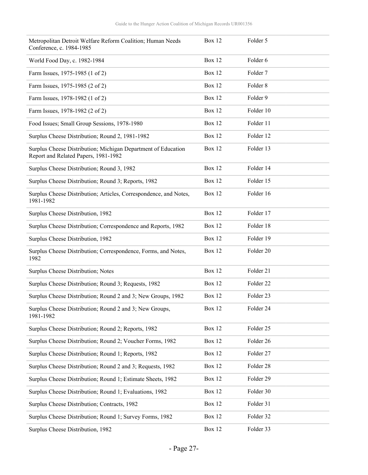| Metropolitan Detroit Welfare Reform Coalition; Human Needs<br>Conference, c. 1984-1985                | <b>Box 12</b> | Folder 5  |
|-------------------------------------------------------------------------------------------------------|---------------|-----------|
| World Food Day, c. 1982-1984                                                                          | <b>Box 12</b> | Folder 6  |
| Farm Issues, 1975-1985 (1 of 2)                                                                       | <b>Box 12</b> | Folder 7  |
| Farm Issues, 1975-1985 (2 of 2)                                                                       | <b>Box 12</b> | Folder 8  |
| Farm Issues, 1978-1982 (1 of 2)                                                                       | <b>Box 12</b> | Folder 9  |
| Farm Issues, 1978-1982 (2 of 2)                                                                       | <b>Box 12</b> | Folder 10 |
| Food Issues; Small Group Sessions, 1978-1980                                                          | <b>Box 12</b> | Folder 11 |
| Surplus Cheese Distribution; Round 2, 1981-1982                                                       | Box 12        | Folder 12 |
| Surplus Cheese Distribution; Michigan Department of Education<br>Report and Related Papers, 1981-1982 | <b>Box 12</b> | Folder 13 |
| Surplus Cheese Distribution; Round 3, 1982                                                            | <b>Box 12</b> | Folder 14 |
| Surplus Cheese Distribution; Round 3; Reports, 1982                                                   | Box 12        | Folder 15 |
| Surplus Cheese Distribution; Articles, Correspondence, and Notes,<br>1981-1982                        | <b>Box 12</b> | Folder 16 |
| Surplus Cheese Distribution, 1982                                                                     | <b>Box 12</b> | Folder 17 |
| Surplus Cheese Distribution; Correspondence and Reports, 1982                                         | Box 12        | Folder 18 |
| Surplus Cheese Distribution, 1982                                                                     | <b>Box 12</b> | Folder 19 |
| Surplus Cheese Distribution; Correspondence, Forms, and Notes,<br>1982                                | <b>Box 12</b> | Folder 20 |
| Surplus Cheese Distribution; Notes                                                                    | <b>Box 12</b> | Folder 21 |
| Surplus Cheese Distribution; Round 3; Requests, 1982                                                  | Box 12        | Folder 22 |
| Surplus Cheese Distribution; Round 2 and 3; New Groups, 1982                                          | Box 12        | Folder 23 |
| Surplus Cheese Distribution; Round 2 and 3; New Groups,<br>1981-1982                                  | <b>Box 12</b> | Folder 24 |
| Surplus Cheese Distribution; Round 2; Reports, 1982                                                   | <b>Box 12</b> | Folder 25 |
| Surplus Cheese Distribution; Round 2; Voucher Forms, 1982                                             | <b>Box 12</b> | Folder 26 |
| Surplus Cheese Distribution; Round 1; Reports, 1982                                                   | <b>Box 12</b> | Folder 27 |
| Surplus Cheese Distribution; Round 2 and 3; Requests, 1982                                            | <b>Box 12</b> | Folder 28 |
| Surplus Cheese Distribution; Round 1; Estimate Sheets, 1982                                           | <b>Box 12</b> | Folder 29 |
| Surplus Cheese Distribution; Round 1; Evaluations, 1982                                               | <b>Box 12</b> | Folder 30 |
| Surplus Cheese Distribution; Contracts, 1982                                                          | <b>Box 12</b> | Folder 31 |
| Surplus Cheese Distribution; Round 1; Survey Forms, 1982                                              | <b>Box 12</b> | Folder 32 |
| Surplus Cheese Distribution, 1982                                                                     | <b>Box 12</b> | Folder 33 |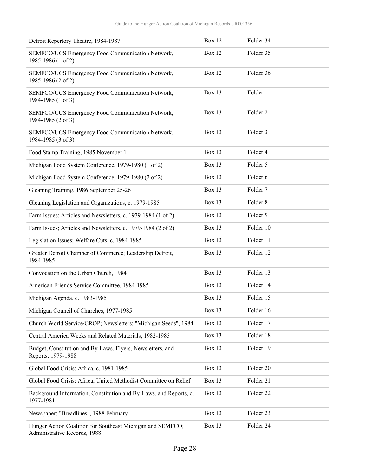| Detroit Repertory Theatre, 1984-1987                                                       | <b>Box 12</b> | Folder 34           |
|--------------------------------------------------------------------------------------------|---------------|---------------------|
| SEMFCO/UCS Emergency Food Communication Network,<br>1985-1986 (1 of 2)                     | <b>Box 12</b> | Folder 35           |
| SEMFCO/UCS Emergency Food Communication Network,<br>1985-1986 (2 of 2)                     | <b>Box 12</b> | Folder 36           |
| SEMFCO/UCS Emergency Food Communication Network,<br>1984-1985 (1 of 3)                     | <b>Box 13</b> | Folder 1            |
| SEMFCO/UCS Emergency Food Communication Network,<br>1984-1985 (2 of 3)                     | <b>Box 13</b> | Folder <sub>2</sub> |
| SEMFCO/UCS Emergency Food Communication Network,<br>1984-1985 (3 of 3)                     | <b>Box 13</b> | Folder 3            |
| Food Stamp Training, 1985 November 1                                                       | <b>Box 13</b> | Folder 4            |
| Michigan Food System Conference, 1979-1980 (1 of 2)                                        | <b>Box 13</b> | Folder 5            |
| Michigan Food System Conference, 1979-1980 (2 of 2)                                        | <b>Box 13</b> | Folder 6            |
| Gleaning Training, 1986 September 25-26                                                    | <b>Box 13</b> | Folder 7            |
| Gleaning Legislation and Organizations, c. 1979-1985                                       | <b>Box 13</b> | Folder <sub>8</sub> |
| Farm Issues; Articles and Newsletters, c. 1979-1984 (1 of 2)                               | <b>Box 13</b> | Folder 9            |
| Farm Issues; Articles and Newsletters, c. 1979-1984 (2 of 2)                               | <b>Box 13</b> | Folder 10           |
| Legislation Issues; Welfare Cuts, c. 1984-1985                                             | <b>Box 13</b> | Folder 11           |
| Greater Detroit Chamber of Commerce; Leadership Detroit,<br>1984-1985                      | <b>Box 13</b> | Folder 12           |
| Convocation on the Urban Church, 1984                                                      | <b>Box 13</b> | Folder 13           |
| American Friends Service Committee, 1984-1985                                              | <b>Box 13</b> | Folder 14           |
| Michigan Agenda, c. 1983-1985                                                              | <b>Box 13</b> | Folder 15           |
| Michigan Council of Churches, 1977-1985                                                    | <b>Box 13</b> | Folder 16           |
| Church World Service/CROP; Newsletters; "Michigan Seeds", 1984                             | Box 13        | Folder 17           |
| Central America Weeks and Related Materials, 1982-1985                                     | Box 13        | Folder 18           |
| Budget, Constitution and By-Laws, Flyers, Newsletters, and<br>Reports, 1979-1988           | Box 13        | Folder 19           |
| Global Food Crisis; Africa, c. 1981-1985                                                   | <b>Box 13</b> | Folder 20           |
| Global Food Crisis; Africa; United Methodist Committee on Relief                           | Box 13        | Folder 21           |
| Background Information, Constitution and By-Laws, and Reports, c.<br>1977-1981             | <b>Box 13</b> | Folder 22           |
| Newspaper; "Breadlines", 1988 February                                                     | Box 13        | Folder 23           |
| Hunger Action Coalition for Southeast Michigan and SEMFCO;<br>Administrative Records, 1988 | <b>Box 13</b> | Folder 24           |